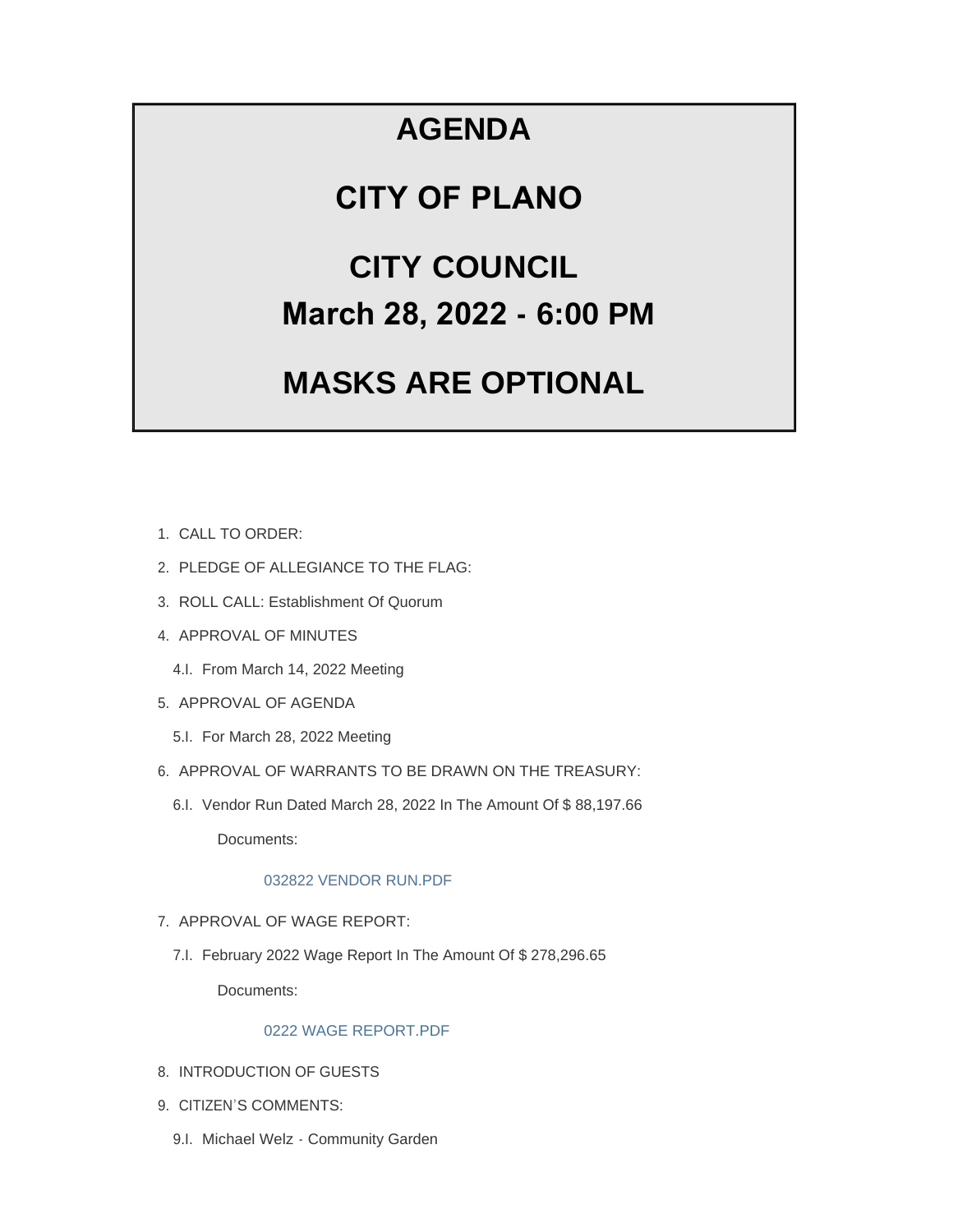## **AGENDA**

### **CITY OF PLANO**

# **CITY COUNCIL March 28, 2022 - 6:00 PM**

# **MASKS ARE OPTIONAL**

- CALL TO ORDER: 1.
- 2. PLEDGE OF ALLEGIANCE TO THE FLAG:
- 3. ROLL CALL: Establishment Of Quorum
- 4. APPROVAL OF MINUTES
	- 4.I. From March 14, 2022 Meeting
- 5. APPROVAL OF AGENDA
	- 5.I. For March 28, 2022 Meeting
- 6. APPROVAL OF WARRANTS TO BE DRAWN ON THE TREASURY:
	- 6.I. Vendor Run Dated March 28, 2022 In The Amount Of \$88,197.66

Documents:

#### [032822 VENDOR RUN.PDF](https://www.cityofplanoil.com/AgendaCenter/ViewFile/Item/8823?fileID=2468)

- 7. APPROVAL OF WAGE REPORT:
	- 7.I. February 2022 Wage Report In The Amount Of \$278,296.65 Documents:

#### [0222 WAGE REPORT.PDF](https://www.cityofplanoil.com/AgendaCenter/ViewFile/Item/8824?fileID=2469)

- 8. INTRODUCTION OF GUESTS
- 9. CITIZEN'S COMMENTS:
	- 9.I. Michael Welz Community Garden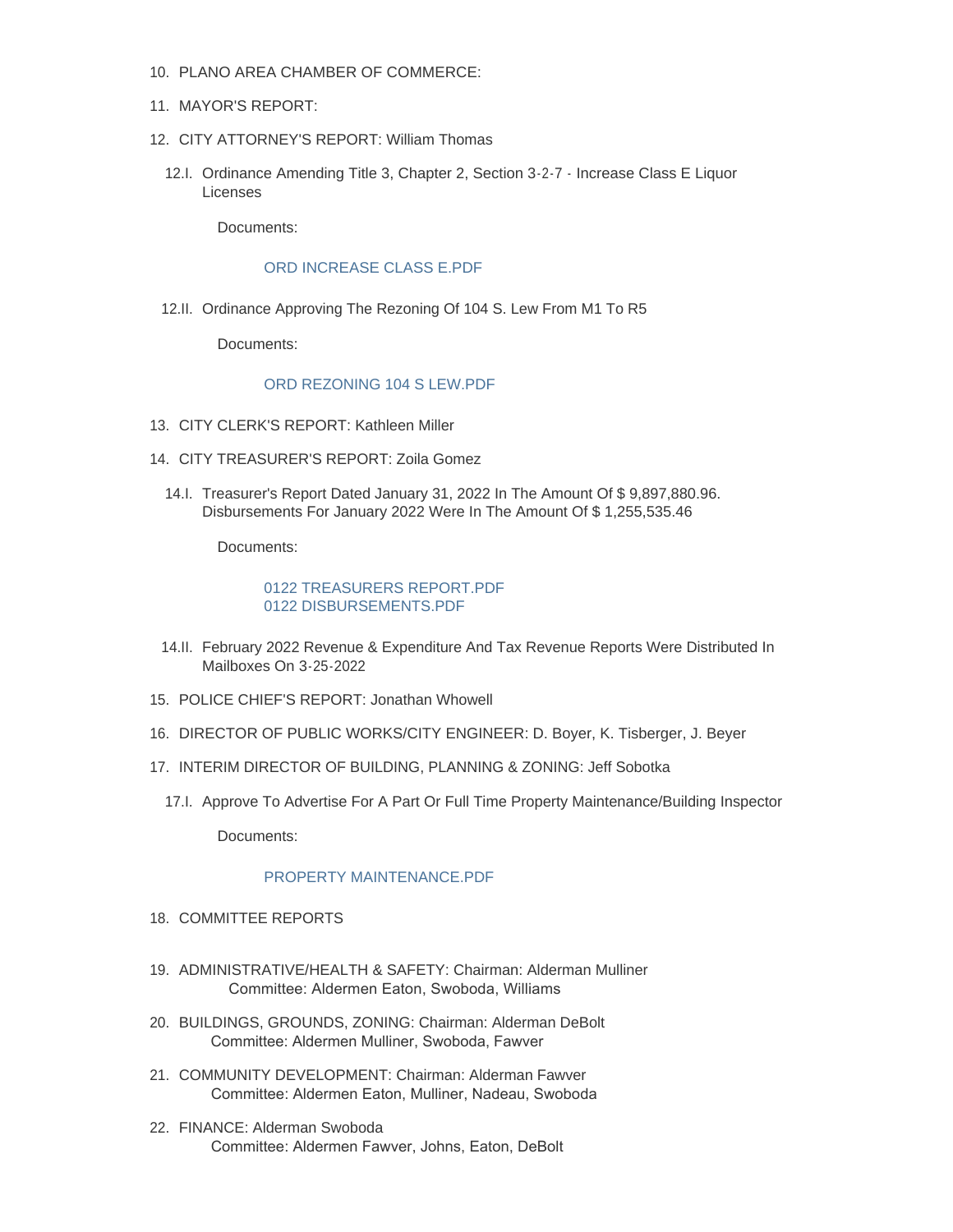- PLANO AREA CHAMBER OF COMMERCE: 10.
- 11. MAYOR'S REPORT:
- 12. CITY ATTORNEY'S REPORT: William Thomas
	- 12.I. Ordinance Amending Title 3, Chapter 2, Section 3-2-7 Increase Class E Liquor Licenses

Documents:

#### [ORD INCREASE CLASS E.PDF](https://www.cityofplanoil.com/AgendaCenter/ViewFile/Item/8825?fileID=2470)

12.II. Ordinance Approving The Rezoning Of 104 S. Lew From M1 To R5

Documents:

#### [ORD REZONING 104 S LEW.PDF](https://www.cityofplanoil.com/AgendaCenter/ViewFile/Item/8826?fileID=2471)

- CITY CLERK'S REPORT: Kathleen Miller 13.
- CITY TREASURER'S REPORT: Zoila Gomez 14.
	- 14.I. Treasurer's Report Dated January 31, 2022 In The Amount Of \$ 9,897,880.96. Disbursements For January 2022 Were In The Amount Of \$ 1,255,535.46

Documents:

#### [0122 TREASURERS REPORT.PDF](https://www.cityofplanoil.com/AgendaCenter/ViewFile/Item/8827?fileID=2472) [0122 DISBURSEMENTS.PDF](https://www.cityofplanoil.com/AgendaCenter/ViewFile/Item/8827?fileID=2473)

- 14.II. February 2022 Revenue & Expenditure And Tax Revenue Reports Were Distributed In Mailboxes On 3-25-2022
- 15. POLICE CHIEF'S REPORT: Jonathan Whowell
- 16. DIRECTOR OF PUBLIC WORKS/CITY ENGINEER: D. Boyer, K. Tisberger, J. Beyer
- 17. INTERIM DIRECTOR OF BUILDING, PLANNING & ZONING: Jeff Sobotka
	- 17.I. Approve To Advertise For A Part Or Full Time Property Maintenance/Building Inspector

Documents:

#### PROPERTY MAINTENANCE PDF

- 18. COMMITTEE REPORTS
- ADMINISTRATIVE/HEALTH & SAFETY: Chairman: Alderman Mulliner 19. Committee: Aldermen Eaton, Swoboda, Williams
- BUILDINGS, GROUNDS, ZONING: Chairman: Alderman DeBolt 20. Committee: Aldermen Mulliner, Swoboda, Fawver
- 21. COMMUNITY DEVELOPMENT: Chairman: Alderman Fawver Committee: Aldermen Eaton, Mulliner, Nadeau, Swoboda
- FINANCE: Alderman Swoboda 22. Committee: Aldermen Fawver, Johns, Eaton, DeBolt